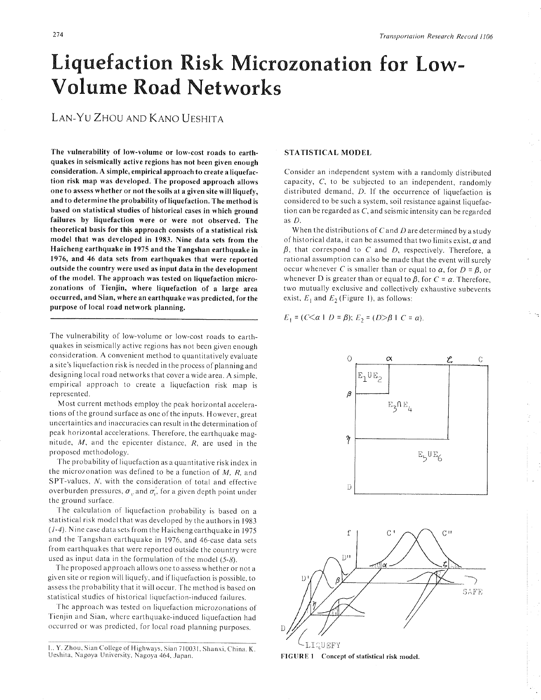# Liquefaction Risk Microzonation for Low-Volume Road Networks

LAN-YU ZHOU AND KANO UESHITA

The vulnerability of low-volume or low-cost roads to earthquakes in seismically active regions has not been given enough consideration. A simple, empirical approach to create a liquefaction risk map wâs developed. The proposed approach allows one to assess whether or not the soils at a given site will liquefy, and to determine the probability of liquefaction. The method is based on statistical studies of historical cases in which ground failures by liquefaction were or were not observed. The theoretical basis for this approach consists of a statistical risk model that was developed in 1983. Nine data sets from the Haicheng earthquake in 1975 and the Tangshan earthquake in 197ó, and 46 data sets from earthquakes that were reported outside the country were used as input data in the development of the model. The approach was tested on liquefaction microzonations of Tienjin, where liquefaction of a large area occurred, and Sian, where an earthquake was predicted, for the purpose of local road network planning.

The vulnerability of low-volume or low-cost roads to earthquakes in seismically active regions has not been given enough consideration. A convenient method to quantitatively evaluate <sup>a</sup>site's liquefaction risk is needed in the process of planning and designing local road networks that cover a wide area. A simple, empirical approach to create a liquefaction risk map is represented.

Most current methods employ the peak horizontal accelerations of the ground surfaceas one of the inputs. However, great uncertainties and inaccuracies can result in the determination of peak horizontal accelerations. Therefore, the earthquake magnitude,  $M$ , and the epicenter distance,  $R$ , are used in the proposed methodology.

The probability of Iiquefaction as a quantitative risk index in the microzonation was defined to be a function of  $M$ ,  $R$ , and SPT-values, N, with the consideration of total and effective overburden pressures,  $\sigma_{v}$  and  $\sigma'_{v}$  for a given depth point under the ground surface.

The calculation of liquefaction probability is based on <sup>a</sup> statistical risk model that was developed by the aurhors in I 983  $(1-4)$ . Nine case data sets from the Haicheng earthquake in 1975 and the Tangshan earthquake in I976, and 46-case data sets from earthquakes that were reported outside the country were used as input data in the formulation of the model  $(5-8)$ .

The proposcd approach allows one to assess whether or not <sup>a</sup> given site or region will liquefy, and if liquefaction is possible, to assess the probability that it will occur. The method is based on statistical studies of historical liquefaction-induced failures.

The approach was tested on liquefaction microzonations of 'fienjin and Sian, where earthquake-induced liquefaction had occurred or was predicted, for local road planning purposes.

## STATISTICAL MODEL

Consider an independent system with a randomly distributed capacity, C, to be subjected to an independent, randomly distributed demand,  $D$ . If the occurrence of liquefaction is considered to be such a system, soil resistance against liquefaction can be regarded as C, and seismic intensity can be regarded as D.

When the distributions of C and D are determined by a study of historical data, it can be assumed that two limits exist,  $\alpha$  and  $\beta$ , that correspond to C and D, respectively. Therefore, a rational assumption can also be made that the event will surely occur whenever C is smaller than or equal to  $\alpha$ , for  $D = \beta$ , or whenever D is greater than or equal to  $\beta$ , for  $C = \alpha$ . Therefore, two mutually exclusive and collectively exhaustive subevents exist,  $E_1$  and  $E_2$  (Figure 1), as follows:

 $E_1 = (C \le \alpha \mid D = \beta); E_2 = (D > \beta \mid C = \alpha).$ 





L. Y. Zhou, Sian College of Highways, Sian 710031, Shanxi, China. K. Ueshita, Nagoya University, Nagoya 464, Japan.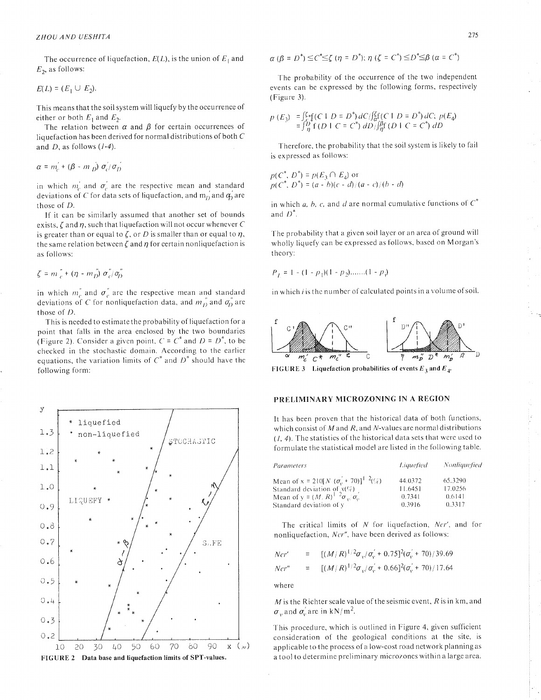The occurrence of liquefaction,  $E(L)$ , is the union of  $E_1$  and  $E_2$ , as follows:

$$
E(L) = (E_1 \cup E_2).
$$

This means that the soil system will liquefy by the occurrence of either or both  $E_1$  and  $E_2$ .

The relation between  $\alpha$  and  $\beta$  for certain occurrences of liquefaction has been derived for normal distributions of both  $C$ and  $D$ , as follows  $(I-4)$ .

$$
\alpha = m_c + (\beta - m_D) \sigma_c / \sigma_D
$$

in which  $m_c$  and  $\sigma_c$  are the respective mean and standard deviations of C for data sets of liquefaction, and  $m'_0$  and  $q'_1$  are those of D.

If it can be similarly assumed that another set of bounds exists,  $\zeta$  and  $\eta$ , such that liquefaction will not occur whenever C is greater than or equal to  $\zeta$ , or D is smaller than or equal to  $\eta$ , the same relation between  $\zeta$  and  $\eta$  for certain nonliquefaction is as follows:

$$
\zeta = m\stackrel{\prime}{c} + (\eta - m\stackrel{\prime}{D}) \sigma\stackrel{\prime}{c}/\sigma\stackrel{\prime}{D}
$$

in which  $m_c^{\prime}$  and  $\sigma_c^{\prime}$  are the respective mean and standard deviations of C for nonliquefaction data, and  $m_D^{\prime\prime}$  and  $\sigma_D^{\prime\prime}$  are those of D.

This is needed to estimate the probability of liquefaction for a point that falls in the area enclosed by the two boundaries (Figure 2). Consider a given point,  $C = C^*$  and  $D = D^*$ , to be checked in the stochastic domain. According to the earlier equations, the variation limits of  $C^*$  and  $D^*$  should have the following form:



$$
\alpha \, (\beta = D^*) \leq C^* \leq \zeta \, (\eta = D^*); \, \eta \, (\zeta = C^*) \leq D^* \leq \beta \, (\alpha = C^*)
$$

The probability of the occurrence of the two independent events can be expressed by the following forms, respectively (Figure 3).

$$
p(E_3) = \int_{0}^{z} f(C \mid D = D^*) dC / \int_{C}^{z} f(C \mid D = D^*) dC; p(E_4)
$$
  
=  $\int_{0}^{D} f(D \mid C = C^*) dD / \int_{C}^{a} f(D \mid C = C^*) dD$ 

Therefore, the probability that the soil system is likely to fail is expressed as follows:

 $p(C^*, D^*) = p(E_3 \cap E_4)$  or<br>  $p(C^*, D^*) = (a - b)(c - d)/(a - c)/(b - d)$ 

in which *a*, *b*, *c*, and *d* are normal cumulative functions of  $C^*$ and  $D^*$ .

The probability that a given soil layer or an area of ground will wholly liquefy can be expressed as follows, based on Morgan's theory:

$$
P_L = 1 - (1 - p_1)(1 - p_2) \dots (1 - p_i)
$$

in which  $i$  is the number of calculated points in a volume of soil.



FIGURE 3 Liquefaction probabilities of events  $E_3$  and  $E_4$ .

### PRELIMINARY MICROZONING IN A REGION

It has been proven that the historical data of both functions, which consist of  $M$  and  $R$ , and  $N$ -values are normal distributions  $(1, 4)$ . The statistics of the historical data sets that were used to formulate the statistical model are listed in the following table.

| Parameters                                                                                           | <i>Liquefied</i> | Nonliquefied |
|------------------------------------------------------------------------------------------------------|------------------|--------------|
| Mean of x = 210[N $(\sigma_0' + 70)$ ] <sup>1</sup> <sup>2</sup> (%)                                 | 44.0372          | 65.3290      |
|                                                                                                      | 11.6451          | 17.0256      |
| Standard deviation of $x(\mathcal{G})$<br>Mean of $y = (M, R)^{\frac{1}{2}} 2 \sigma_y / \sigma_y$ . | 0.7341           | 0.6141       |
| Standard deviation of y                                                                              | 0.3916           | 0.3317       |

The critical limits of  $N$  for liquefaction,  $Ncr'$ , and for nonliquefaction, Ner", have been derived as follows:

*Ncr'* = 
$$
[(M/R)^{1/2}\sigma_{v}/\sigma_{v}'+0.75]^{2}(\sigma_{v}'+70)/39.69
$$
  
*Ncr''* = 
$$
[(M/R)^{1/2}\sigma_{v}/\sigma_{v}'+0.66]^{2}(\sigma_{v}'+70)/17.64
$$

where

 $M$  is the Richter scale value of the seismic event,  $R$  is in km, and  $\sigma_{v}$  and  $\sigma_{v}$  are in kN/m<sup>2</sup>.

This procedure, which is outlined in Figure 4, given sufficient consideration of the geological conditions at the site, is applicable to the process of a low-cost road network planning as a tool to determine preliminary microzones within a large area.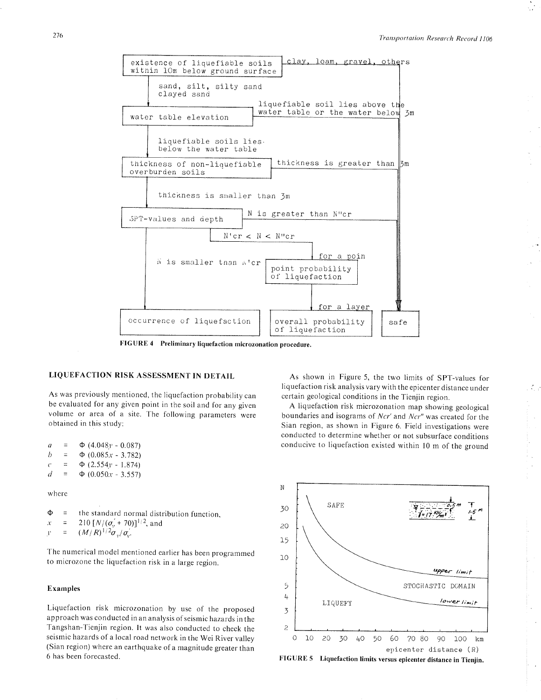

FIGURE 4 Preliminary liquefaction microzonation procedure.

# LIQUEFACTION RISK ASSESSMENT IN DETAIL

As was previously mentioned, the liquefaction probability can be evaluated for any given point in the soil and for any given volume or area of a site. The following parameters were obtained in this study:

o h  $\mathcal{C}$ d =  $\Phi$  (4.048*y* - 0.087)<br>=  $\Phi$  (0.085*x* = 3.782)  $\Phi$  (0.085x - 3.782) =  $\Phi$  (2.554y - 1.874)<br>=  $\Phi$  (0.050x - 3.557)  $\Phi$  (0.050x - 3.557)

where

 $\Phi$  = the standard normal distribution function, 210  $[N/(\sigma_0' + 70)]^{1/2}$ , and  $\equiv$  $\mathcal{X}$  $(M/R)^{1/2} \sigma_{_{V}}/\sigma_{_{V}}^2$  $\mathbf{I}^*$  $\equiv$ 

The numerical model mentioned earlier has been programmed to microzone the liquefaction risk in a large region.

# Examples

Liquefaction risk microzonation by use of the proposed approach was conducted in an analysis of seismic hazards in the Tangshan-Tienjin region. It was also conducted to check the seismic hazards of a local road network in the Wei River valley (Sian region) where an earthquake of a magnitude greater than 6 has been forecasted.

As shown in Figure 5, the two limits of SpT-values for liquefaction risk analysis vary with the epicenter distance under certain geological conditions in the Tienjin region.

 $\mathcal{L}_{\mathcal{A}}$ 

J.

A liquefaction risk microzonation map showing geological boundaries and isograms of  $Ncr'$  and  $Ncr''$  was created for the Sian region, as shown in Figure 6. Field investigations were conducted to determine whether or not subsurface conditions conducive to liquefaction existed within l0 m of the ground



FTGURE 5 Liquefaction limits versus epicenter distance in Tienjin.